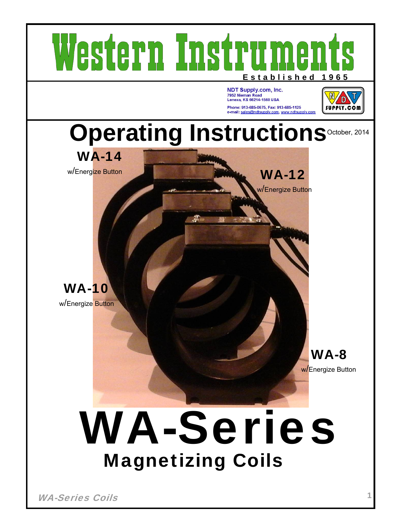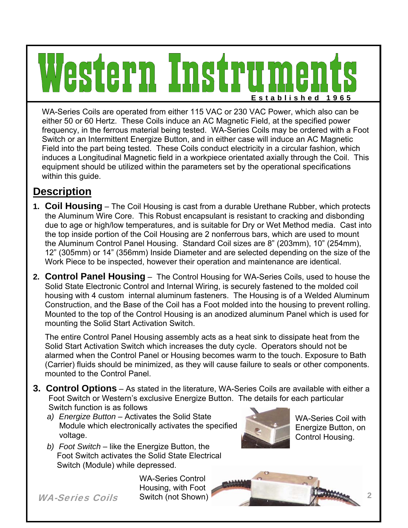# stern Instr  $\Box$ **Established 196 5**

WA-Series Coils are operated from either 115 VAC or 230 VAC Power, which also can be either 50 or 60 Hertz. These Coils induce an AC Magnetic Field, at the specified power frequency, in the ferrous material being tested. WA-Series Coils may be ordered with a Foot Switch or an Intermittent Energize Button, and in either case will induce an AC Magnetic Field into the part being tested. These Coils conduct electricity in a circular fashion, which induces a Longitudinal Magnetic field in a workpiece orientated axially through the Coil. This equipment should be utilized within the parameters set by the operational specifications within this guide.

# **Description**

- **1. Coil Housing** The Coil Housing is cast from a durable Urethane Rubber, which protects the Aluminum Wire Core. This Robust encapsulant is resistant to cracking and disbonding due to age or high/low temperatures, and is suitable for Dry or Wet Method media. Cast into the top inside portion of the Coil Housing are 2 nonferrous bars, which are used to mount the Aluminum Control Panel Housing. Standard Coil sizes are 8" (203mm), 10" (254mm), 12" (305mm) or 14" (356mm) Inside Diameter and are selected depending on the size of the Work Piece to be inspected, however their operation and maintenance are identical.
- **2. Control Panel Housing** The Control Housing for WA-Series Coils, used to house the Solid State Electronic Control and Internal Wiring, is securely fastened to the molded coil housing with 4 custom internal aluminum fasteners. The Housing is of a Welded Aluminum Construction, and the Base of the Coil has a Foot molded into the housing to prevent rolling. Mounted to the top of the Control Housing is an anodized aluminum Panel which is used for mounting the Solid Start Activation Switch.

The entire Control Panel Housing assembly acts as a heat sink to dissipate heat from the Solid Start Activation Switch which increases the duty cycle. Operators should not be alarmed when the Control Panel or Housing becomes warm to the touch. Exposure to Bath (Carrier) fluids should be minimized, as they will cause failure to seals or other components. mounted to the Control Panel.

- **3. Control Options** As stated in the literature, WA-Series Coils are available with either a Foot Switch or Western's exclusive Energize Button. The details for each particular Switch function is as follows
	- *a) Energize Button* Activates the Solid State Module which electronically activates the specified voltage.
	- *b) Foot Switch* like the Energize Button, the Foot Switch activates the Solid State Electrical Switch (Module) while depressed.



WA-Series Coil with Energize Button, on Control Housing.





WA-Series Coils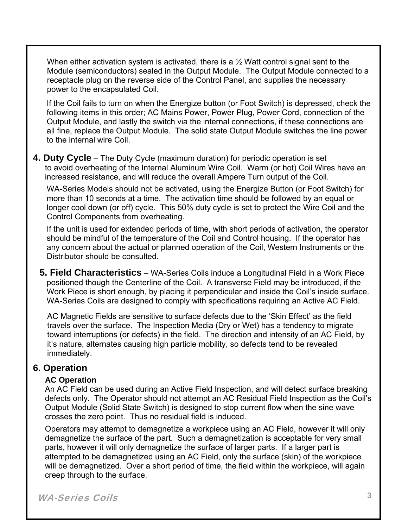When either activation system is activated, there is a  $\frac{1}{2}$  Watt control signal sent to the Module (semiconductors) sealed in the Output Module. The Output Module connected to a receptacle plug on the reverse side of the Control Panel, and supplies the necessary power to the encapsulated Coil.

If the Coil fails to turn on when the Energize button (or Foot Switch) is depressed, check the following items in this order; AC Mains Power, Power Plug, Power Cord, connection of the Output Module, and lastly the switch via the internal connections, if these connections are all fine, replace the Output Module. The solid state Output Module switches the line power to the internal wire Coil.

**4. Duty Cycle** – The Duty Cycle (maximum duration) for periodic operation is set to avoid overheating of the Internal Aluminum Wire Coil. Warm (or hot) Coil Wires have an increased resistance, and will reduce the overall Ampere Turn output of the Coil.

WA-Series Models should not be activated, using the Energize Button (or Foot Switch) for more than 10 seconds at a time. The activation time should be followed by an equal or longer cool down (or off) cycle. This 50% duty cycle is set to protect the Wire Coil and the Control Components from overheating.

If the unit is used for extended periods of time, with short periods of activation, the operator should be mindful of the temperature of the Coil and Control housing. If the operator has any concern about the actual or planned operation of the Coil, Western Instruments or the Distributor should be consulted.

 **5. Field Characteristics** – WA-Series Coils induce a Longitudinal Field in a Work Piece positioned though the Centerline of the Coil. A transverse Field may be introduced, if the Work Piece is short enough, by placing it perpendicular and inside the Coil's inside surface. WA-Series Coils are designed to comply with specifications requiring an Active AC Field.

 AC Magnetic Fields are sensitive to surface defects due to the 'Skin Effect' as the field travels over the surface. The Inspection Media (Dry or Wet) has a tendency to migrate toward interruptions (or defects) in the field. The direction and intensity of an AC Field, by it's nature, alternates causing high particle mobility, so defects tend to be revealed immediately.

## **6. Operation**

#### **AC Operation**

An AC Field can be used during an Active Field Inspection, and will detect surface breaking defects only. The Operator should not attempt an AC Residual Field Inspection as the Coil's Output Module (Solid State Switch) is designed to stop current flow when the sine wave crosses the zero point. Thus no residual field is induced.

Operators may attempt to demagnetize a workpiece using an AC Field, however it will only demagnetize the surface of the part. Such a demagnetization is acceptable for very small parts, however it will only demagnetize the surface of larger parts. If a larger part is attempted to be demagnetized using an AC Field, only the surface (skin) of the workpiece will be demagnetized. Over a short period of time, the field within the workpiece, will again creep through to the surface.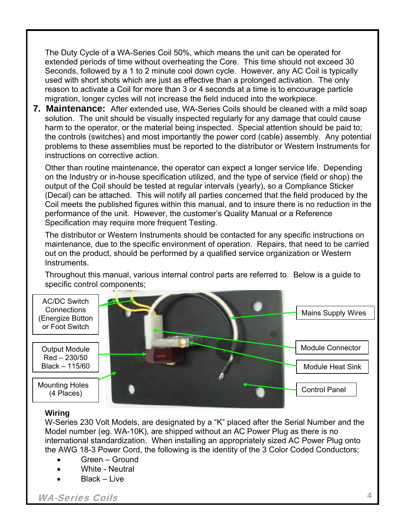The Duty Cycle of a WA-Series Coil 50%, which means the unit can be operated for extended periods of time without overheating the Core. This time should not exceed 30 Seconds, followed by a 1 to 2 minute cool down cycle. However, any AC Coil is typically used with short shots which are just as effective than a prolonged activation. The only reason to activate a Coil for more than 3 or 4 seconds at a time is to encourage particle migration, longer cycles will not increase the field induced into the workpiece.

**7. Maintenance:** After extended use, WA-Series Coils should be cleaned with a mild soap solution. The unit should be visually inspected regularly for any damage that could cause harm to the operator, or the material being inspected. Special attention should be paid to; the controls (switches) and most importantly the power cord (cable) assembly. Any potential problems to these assemblies must be reported to the distributor or Western Instruments for instructions on corrective action.

Other than routine maintenance, the operator can expect a longer service life. Depending on the Industry or in-house specification utilized, and the type of service (field or shop) the output of the Coil should be tested at regular intervals (yearly), so a Compliance Sticker (Decal) can be attached. This will notify all parties concerned that the field produced by the Coil meets the published figures within this manual, and to insure there is no reduction in the performance of the unit. However, the customer's Quality Manual or a Reference Specification may require more frequent Testing.

The distributor or Western Instruments should be contacted for any specific instructions on maintenance, due to the specific environment of operation. Repairs, that need to be carried out on the product, should be performed by a qualified service organization or Western Instruments.

Throughout this manual, various internal control parts are referred to. Below is a guide to specific control components;



#### **Wiring**

W-Series 230 Volt Models, are designated by a "K" placed after the Serial Number and the Model number (eg. WA-10K), are shipped without an AC Power Plug as there is no international standardization. When installing an appropriately sized AC Power Plug onto the AWG 18-3 Power Cord, the following is the identity of the 3 Color Coded Conductors;

- Green Ground
- White Neutral
- Black Live

WA-Series Coils **4**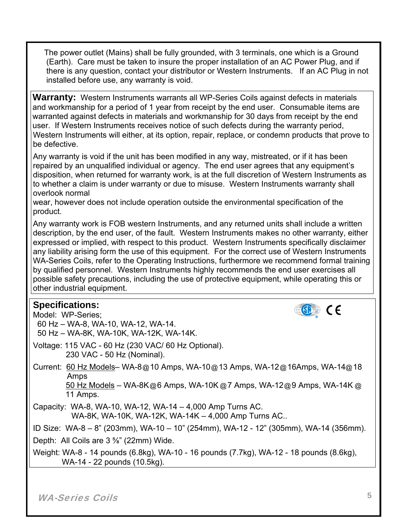The power outlet (Mains) shall be fully grounded, with 3 terminals, one which is a Ground (Earth). Care must be taken to insure the proper installation of an AC Power Plug, and if there is any question, contact your distributor or Western Instruments. If an AC Plug in not installed before use, any warranty is void.

**Warranty:** Western Instruments warrants all WP-Series Coils against defects in materials and workmanship for a period of 1 year from receipt by the end user. Consumable items are warranted against defects in materials and workmanship for 30 days from receipt by the end user. If Western Instruments receives notice of such defects during the warranty period, Western Instruments will either, at its option, repair, replace, or condemn products that prove to be defective.

Any warranty is void if the unit has been modified in any way, mistreated, or if it has been repaired by an unqualified individual or agency. The end user agrees that any equipment's disposition, when returned for warranty work, is at the full discretion of Western Instruments as to whether a claim is under warranty or due to misuse. Western Instruments warranty shall overlook normal

wear, however does not include operation outside the environmental specification of the product.

Any warranty work is FOB western Instruments, and any returned units shall include a written description, by the end user, of the fault. Western Instruments makes no other warranty, either expressed or implied, with respect to this product. Western Instruments specifically disclaimer any liability arising form the use of this equipment. For the correct use of Western Instruments WA-Series Coils, refer to the Operating Instructions, furthermore we recommend formal training by qualified personnel. Western Instruments highly recommends the end user exercises all possible safety precautions, including the use of protective equipment, while operating this or other industrial equipment.

## **Specifications:**



Model: WP-Series; 60 Hz – WA-8, WA-10, WA-12, WA-14. 50 Hz – WA-8K, WA-10K, WA-12K, WA-14K. Voltage: 115 VAC - 60 Hz (230 VAC/ 60 Hz Optional). 230 VAC - 50 Hz (Nominal). Current: 60 Hz Models– WA-8@10 Amps, WA-10@13 Amps, WA-12@16Amps, WA-14@18 Amps 50 Hz Models – WA-8K@6 Amps, WA-10K @7 Amps, WA-12@9 Amps, WA-14K @ 11 Amps. Capacity: WA-8, WA-10, WA-12, WA-14 – 4,000 Amp Turns AC. WA-8K, WA-10K, WA-12K, WA-14K – 4,000 Amp Turns AC.. ID Size: WA-8 – 8" (203mm), WA-10 – 10" (254mm), WA-12 - 12" (305mm), WA-14 (356mm). Depth: All Coils are 3 ⅝" (22mm) Wide.

Weight: WA-8 - 14 pounds (6.8kg), WA-10 - 16 pounds (7.7kg), WA-12 - 18 pounds (8.6kg), WA-14 - 22 pounds (10.5kg).

WA-Series Coils **5**